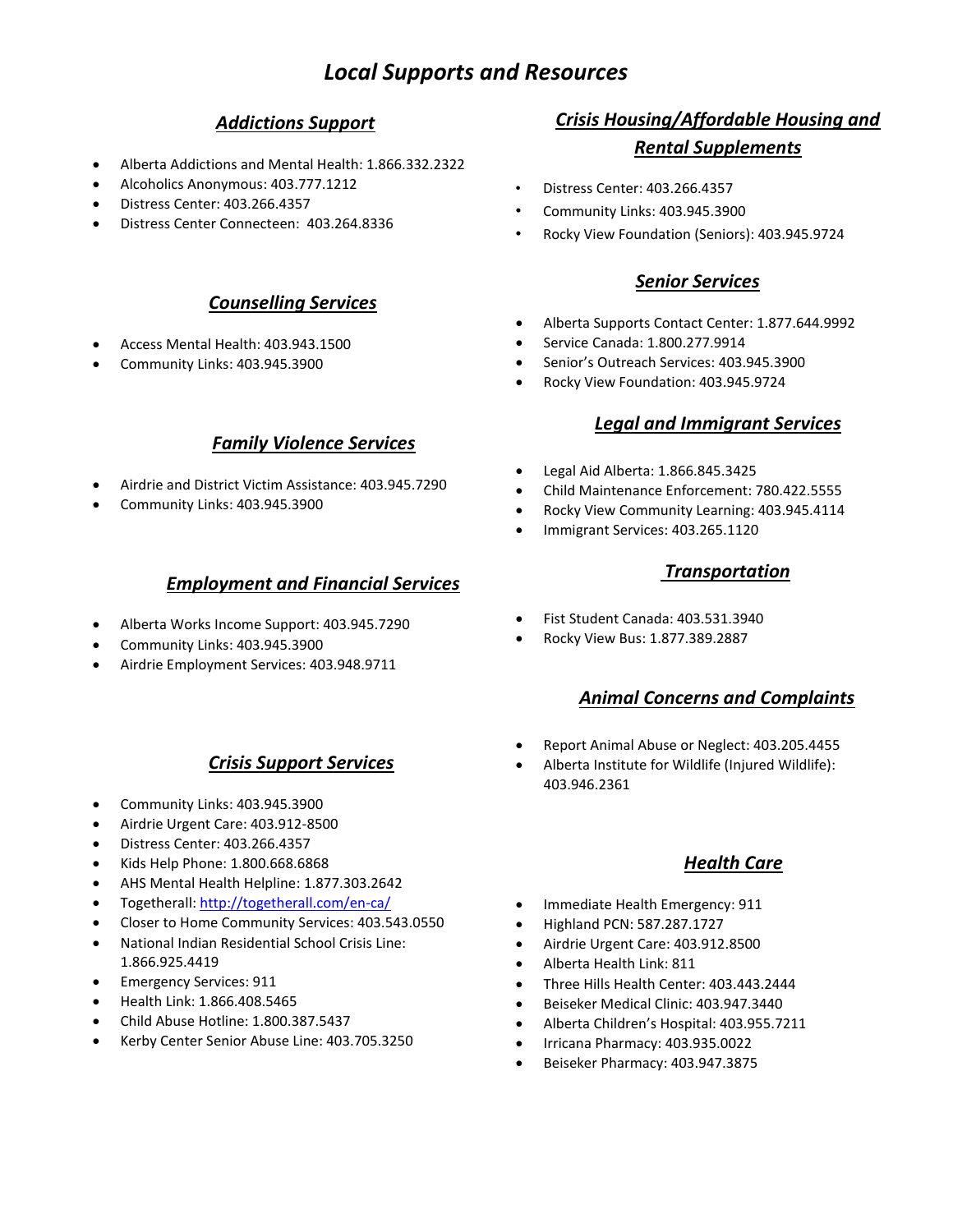# *Local Supports and Resources*

#### *Addictions Support*

- Alberta Addictions and Mental Health: 1.866.332.2322
- Alcoholics Anonymous: 403.777.1212
- Distress Center: 403.266.4357
- Distress Center Connecteen: 403.264.8336

#### *Counselling Services*

- Access Mental Health: 403.943.1500
- Community Links: 403.945.3900

#### *Family Violence Services*

- Airdrie and District Victim Assistance: 403.945.7290
- Community Links: 403.945.3900

#### *Employment and Financial Services*

- Alberta Works Income Support: 403.945.7290
- Community Links: 403.945.3900
- Airdrie Employment Services: 403.948.9711

## *Crisis Support Services*

- Community Links: 403.945.3900
- Airdrie Urgent Care: 403.912-8500
- Distress Center: 403.266.4357
- Kids Help Phone: 1.800.668.6868
- AHS Mental Health Helpline: 1.877.303.2642
- Togetherall[: http://togetherall.com/en-ca/](http://togetherall.com/en-ca/)
- Closer to Home Community Services: 403.543.0550
- National Indian Residential School Crisis Line: 1.866.925.4419
- Emergency Services: 911
- Health Link: 1.866.408.5465
- Child Abuse Hotline: 1.800.387.5437
- Kerby Center Senior Abuse Line: 403.705.3250

## *Crisis Housing/Affordable Housing and Rental Supplements*

- Distress Center: 403.266.4357
- Community Links: 403.945.3900
- Rocky View Foundation (Seniors): 403.945.9724

#### *Senior Services*

- Alberta Supports Contact Center: 1.877.644.9992
- Service Canada: 1.800.277.9914
- Senior's Outreach Services: 403.945.3900
- Rocky View Foundation: 403.945.9724

#### *Legal and Immigrant Services*

- Legal Aid Alberta: 1.866.845.3425
- Child Maintenance Enforcement: 780.422.5555
- Rocky View Community Learning: 403.945.4114
- Immigrant Services: 403.265.1120

#### *Transportation*

- Fist Student Canada: 403.531.3940
- Rocky View Bus: 1.877.389.2887

#### *Animal Concerns and Complaints*

- Report Animal Abuse or Neglect: 403.205.4455
- Alberta Institute for Wildlife (Injured Wildlife): 403.946.2361

#### *Health Care*

- Immediate Health Emergency: 911
- Highland PCN: 587.287.1727
- Airdrie Urgent Care: 403.912.8500
- Alberta Health Link: 811
- Three Hills Health Center: 403.443.2444
- Beiseker Medical Clinic: 403.947.3440
- Alberta Children's Hospital: 403.955.7211
- Irricana Pharmacy: 403.935.0022
- Beiseker Pharmacy: 403.947.3875